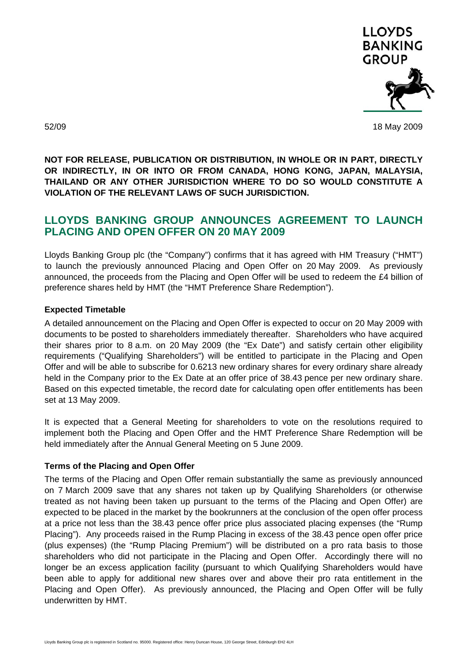

52/09 18 May 2009

**NOT FOR RELEASE, PUBLICATION OR DISTRIBUTION, IN WHOLE OR IN PART, DIRECTLY OR INDIRECTLY, IN OR INTO OR FROM CANADA, HONG KONG, JAPAN, MALAYSIA, THAILAND OR ANY OTHER JURISDICTION WHERE TO DO SO WOULD CONSTITUTE A VIOLATION OF THE RELEVANT LAWS OF SUCH JURISDICTION.** 

## **LLOYDS BANKING GROUP ANNOUNCES AGREEMENT TO LAUNCH PLACING AND OPEN OFFER ON 20 MAY 2009**

Lloyds Banking Group plc (the "Company") confirms that it has agreed with HM Treasury ("HMT") to launch the previously announced Placing and Open Offer on 20 May 2009. As previously announced, the proceeds from the Placing and Open Offer will be used to redeem the £4 billion of preference shares held by HMT (the "HMT Preference Share Redemption").

## **Expected Timetable**

A detailed announcement on the Placing and Open Offer is expected to occur on 20 May 2009 with documents to be posted to shareholders immediately thereafter. Shareholders who have acquired their shares prior to 8 a.m. on 20 May 2009 (the "Ex Date") and satisfy certain other eligibility requirements ("Qualifying Shareholders") will be entitled to participate in the Placing and Open Offer and will be able to subscribe for 0.6213 new ordinary shares for every ordinary share already held in the Company prior to the Ex Date at an offer price of 38.43 pence per new ordinary share. Based on this expected timetable, the record date for calculating open offer entitlements has been set at 13 May 2009.

It is expected that a General Meeting for shareholders to vote on the resolutions required to implement both the Placing and Open Offer and the HMT Preference Share Redemption will be held immediately after the Annual General Meeting on 5 June 2009.

## **Terms of the Placing and Open Offer**

The terms of the Placing and Open Offer remain substantially the same as previously announced on 7 March 2009 save that any shares not taken up by Qualifying Shareholders (or otherwise treated as not having been taken up pursuant to the terms of the Placing and Open Offer) are expected to be placed in the market by the bookrunners at the conclusion of the open offer process at a price not less than the 38.43 pence offer price plus associated placing expenses (the "Rump Placing"). Any proceeds raised in the Rump Placing in excess of the 38.43 pence open offer price (plus expenses) (the "Rump Placing Premium") will be distributed on a pro rata basis to those shareholders who did not participate in the Placing and Open Offer. Accordingly there will no longer be an excess application facility (pursuant to which Qualifying Shareholders would have been able to apply for additional new shares over and above their pro rata entitlement in the Placing and Open Offer). As previously announced, the Placing and Open Offer will be fully underwritten by HMT.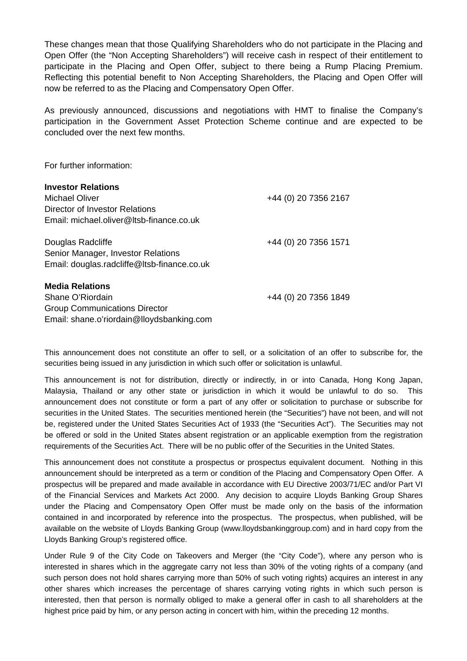These changes mean that those Qualifying Shareholders who do not participate in the Placing and Open Offer (the "Non Accepting Shareholders") will receive cash in respect of their entitlement to participate in the Placing and Open Offer, subject to there being a Rump Placing Premium. Reflecting this potential benefit to Non Accepting Shareholders, the Placing and Open Offer will now be referred to as the Placing and Compensatory Open Offer.

As previously announced, discussions and negotiations with HMT to finalise the Company's participation in the Government Asset Protection Scheme continue and are expected to be concluded over the next few months.

For further information:

| <b>Investor Relations</b>                               |                      |
|---------------------------------------------------------|----------------------|
| <b>Michael Oliver</b>                                   | +44 (0) 20 7356 2167 |
| Director of Investor Relations                          |                      |
| Email: michael.oliver@Itsb-finance.co.uk                |                      |
| Douglas Radcliffe<br>Senior Manager, Investor Relations | +44 (0) 20 7356 1571 |
| Email: douglas.radcliffe@Itsb-finance.co.uk             |                      |
| <b>Media Relations</b>                                  |                      |
| Shane O'Riordain                                        | +44 (0) 20 7356 1849 |
| <b>Group Communications Director</b>                    |                      |
| Email: shane.o'riordain@lloydsbanking.com               |                      |

This announcement does not constitute an offer to sell, or a solicitation of an offer to subscribe for, the securities being issued in any jurisdiction in which such offer or solicitation is unlawful.

This announcement is not for distribution, directly or indirectly, in or into Canada, Hong Kong Japan, Malaysia, Thailand or any other state or jurisdiction in which it would be unlawful to do so. This announcement does not constitute or form a part of any offer or solicitation to purchase or subscribe for securities in the United States. The securities mentioned herein (the "Securities") have not been, and will not be, registered under the United States Securities Act of 1933 (the "Securities Act"). The Securities may not be offered or sold in the United States absent registration or an applicable exemption from the registration requirements of the Securities Act. There will be no public offer of the Securities in the United States.

This announcement does not constitute a prospectus or prospectus equivalent document. Nothing in this announcement should be interpreted as a term or condition of the Placing and Compensatory Open Offer. A prospectus will be prepared and made available in accordance with EU Directive 2003/71/EC and/or Part VI of the Financial Services and Markets Act 2000. Any decision to acquire Lloyds Banking Group Shares under the Placing and Compensatory Open Offer must be made only on the basis of the information contained in and incorporated by reference into the prospectus. The prospectus, when published, will be available on the website of Lloyds Banking Group (www.lloydsbankinggroup.com) and in hard copy from the Lloyds Banking Group's registered office.

Under Rule 9 of the City Code on Takeovers and Merger (the "City Code"), where any person who is interested in shares which in the aggregate carry not less than 30% of the voting rights of a company (and such person does not hold shares carrying more than 50% of such voting rights) acquires an interest in any other shares which increases the percentage of shares carrying voting rights in which such person is interested, then that person is normally obliged to make a general offer in cash to all shareholders at the highest price paid by him, or any person acting in concert with him, within the preceding 12 months.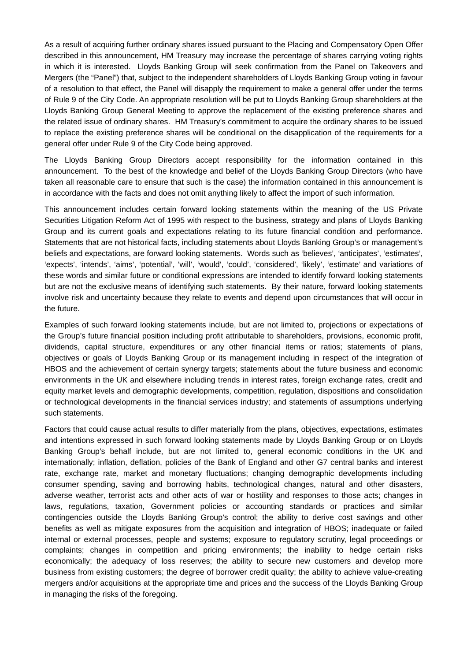As a result of acquiring further ordinary shares issued pursuant to the Placing and Compensatory Open Offer described in this announcement, HM Treasury may increase the percentage of shares carrying voting rights in which it is interested. Lloyds Banking Group will seek confirmation from the Panel on Takeovers and Mergers (the "Panel") that, subject to the independent shareholders of Lloyds Banking Group voting in favour of a resolution to that effect, the Panel will disapply the requirement to make a general offer under the terms of Rule 9 of the City Code. An appropriate resolution will be put to Lloyds Banking Group shareholders at the Lloyds Banking Group General Meeting to approve the replacement of the existing preference shares and the related issue of ordinary shares. HM Treasury's commitment to acquire the ordinary shares to be issued to replace the existing preference shares will be conditional on the disapplication of the requirements for a general offer under Rule 9 of the City Code being approved.

The Lloyds Banking Group Directors accept responsibility for the information contained in this announcement. To the best of the knowledge and belief of the Lloyds Banking Group Directors (who have taken all reasonable care to ensure that such is the case) the information contained in this announcement is in accordance with the facts and does not omit anything likely to affect the import of such information.

This announcement includes certain forward looking statements within the meaning of the US Private Securities Litigation Reform Act of 1995 with respect to the business, strategy and plans of Lloyds Banking Group and its current goals and expectations relating to its future financial condition and performance. Statements that are not historical facts, including statements about Lloyds Banking Group's or management's beliefs and expectations, are forward looking statements. Words such as 'believes', 'anticipates', 'estimates', 'expects', 'intends', 'aims', 'potential', 'will', 'would', 'could', 'considered', 'likely', 'estimate' and variations of these words and similar future or conditional expressions are intended to identify forward looking statements but are not the exclusive means of identifying such statements. By their nature, forward looking statements involve risk and uncertainty because they relate to events and depend upon circumstances that will occur in the future.

Examples of such forward looking statements include, but are not limited to, projections or expectations of the Group's future financial position including profit attributable to shareholders, provisions, economic profit, dividends, capital structure, expenditures or any other financial items or ratios; statements of plans, objectives or goals of Lloyds Banking Group or its management including in respect of the integration of HBOS and the achievement of certain synergy targets; statements about the future business and economic environments in the UK and elsewhere including trends in interest rates, foreign exchange rates, credit and equity market levels and demographic developments, competition, regulation, dispositions and consolidation or technological developments in the financial services industry; and statements of assumptions underlying such statements.

Factors that could cause actual results to differ materially from the plans, objectives, expectations, estimates and intentions expressed in such forward looking statements made by Lloyds Banking Group or on Lloyds Banking Group's behalf include, but are not limited to, general economic conditions in the UK and internationally; inflation, deflation, policies of the Bank of England and other G7 central banks and interest rate, exchange rate, market and monetary fluctuations; changing demographic developments including consumer spending, saving and borrowing habits, technological changes, natural and other disasters, adverse weather, terrorist acts and other acts of war or hostility and responses to those acts; changes in laws, regulations, taxation, Government policies or accounting standards or practices and similar contingencies outside the Lloyds Banking Group's control; the ability to derive cost savings and other benefits as well as mitigate exposures from the acquisition and integration of HBOS; inadequate or failed internal or external processes, people and systems; exposure to regulatory scrutiny, legal proceedings or complaints; changes in competition and pricing environments; the inability to hedge certain risks economically; the adequacy of loss reserves; the ability to secure new customers and develop more business from existing customers; the degree of borrower credit quality; the ability to achieve value-creating mergers and/or acquisitions at the appropriate time and prices and the success of the Lloyds Banking Group in managing the risks of the foregoing.